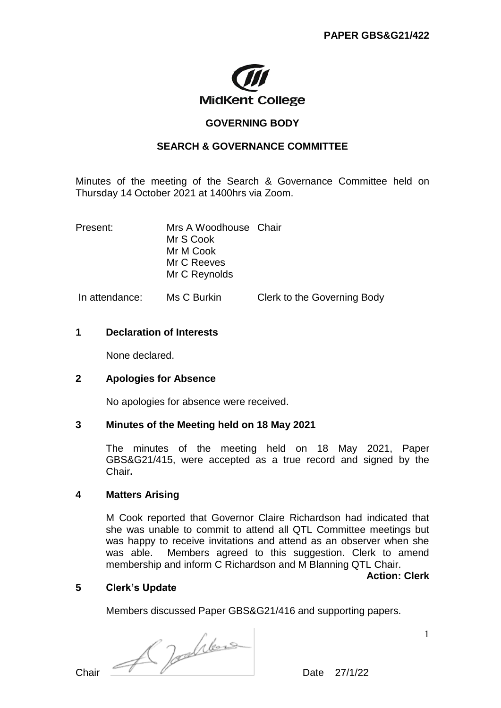

# **GOVERNING BODY**

# **SEARCH & GOVERNANCE COMMITTEE**

Minutes of the meeting of the Search & Governance Committee held on Thursday 14 October 2021 at 1400hrs via Zoom.

| Present:       | Mrs A Woodhouse Chair<br>Mr S Cook<br>Mr M Cook<br>Mr C Reeves<br>Mr C Reynolds |                             |
|----------------|---------------------------------------------------------------------------------|-----------------------------|
| In attendance: | Ms C Burkin                                                                     | Clerk to the Governing Body |

# **1 Declaration of Interests**

None declared.

# **2 Apologies for Absence**

No apologies for absence were received.

# **3 Minutes of the Meeting held on 18 May 2021**

The minutes of the meeting held on 18 May 2021, Paper GBS&G21/415, were accepted as a true record and signed by the Chair**.** 

# **4 Matters Arising**

M Cook reported that Governor Claire Richardson had indicated that she was unable to commit to attend all QTL Committee meetings but was happy to receive invitations and attend as an observer when she was able. Members agreed to this suggestion. Clerk to amend membership and inform C Richardson and M Blanning QTL Chair.

#### **Action: Clerk**

# **5 Clerk's Update**

Members discussed Paper GBS&G21/416 and supporting papers.

 $Char$ 

1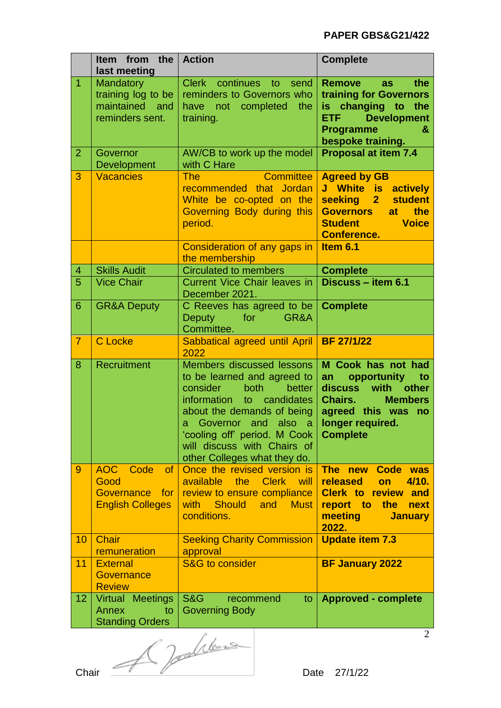# **PAPER GBS&G21/422**

|                | Item from the<br>last meeting                                           | <b>Action</b>                                                                                                                                                                                                                                                                                   | <b>Complete</b>                                                                                                                                                    |
|----------------|-------------------------------------------------------------------------|-------------------------------------------------------------------------------------------------------------------------------------------------------------------------------------------------------------------------------------------------------------------------------------------------|--------------------------------------------------------------------------------------------------------------------------------------------------------------------|
| $\overline{1}$ | Mandatory<br>training log to be<br>maintained<br>and<br>reminders sent. | Clerk continues to<br>send<br>reminders to Governors who<br>have not completed<br>the<br>training.                                                                                                                                                                                              | <b>Remove</b><br>the<br>as<br>training for Governors<br>is changing to the<br><b>Development</b><br><b>ETF</b><br><b>Programme</b><br>&<br>bespoke training.       |
| $\overline{2}$ | Governor<br><b>Development</b>                                          | AW/CB to work up the model<br>with C Hare                                                                                                                                                                                                                                                       | <b>Proposal at item 7.4</b>                                                                                                                                        |
| 3              | <b>Vacancies</b>                                                        | <b>Committee</b><br><b>The</b><br>recommended that Jordan<br>White be co-opted on the<br>Governing Body during this<br>period.                                                                                                                                                                  | <b>Agreed by GB</b><br>J White is<br>actively<br><b>student</b><br>seeking 2<br>at the<br><b>Governors</b><br><b>Voice</b><br><b>Student</b><br><b>Conference.</b> |
|                |                                                                         | Consideration of any gaps in<br>the membership                                                                                                                                                                                                                                                  | Item 6.1                                                                                                                                                           |
| 4              | <b>Skills Audit</b>                                                     | <b>Circulated to members</b>                                                                                                                                                                                                                                                                    | <b>Complete</b>                                                                                                                                                    |
| 5              | <b>Vice Chair</b>                                                       | <b>Current Vice Chair leaves in</b><br>December 2021.                                                                                                                                                                                                                                           | Discuss - item 6.1                                                                                                                                                 |
| 6              | <b>GR&amp;A Deputy</b>                                                  | C Reeves has agreed to be<br><b>Deputy</b><br>for<br>GR&A<br>Committee.                                                                                                                                                                                                                         | <b>Complete</b>                                                                                                                                                    |
| $\overline{7}$ | <b>C</b> Locke                                                          | Sabbatical agreed until April<br>2022                                                                                                                                                                                                                                                           | <b>BF 27/1/22</b>                                                                                                                                                  |
| 8              | Recruitment                                                             | <b>Members discussed lessons</b><br>to be learned and agreed to<br>consider<br>better<br>both<br>information<br>to<br>candidates<br>about the demands of being<br>also<br>Governor and<br>a<br>a<br>'cooling off' period. M Cook<br>will discuss with Chairs of<br>other Colleges what they do. | M Cook has not had<br>opportunity<br>an<br>to<br>discuss with other<br>Chairs.<br><b>Members</b><br>agreed this was<br>no<br>longer required.<br><b>Complete</b>   |
| 9              | AOC Code<br>of<br>Good<br>Governance<br>for<br><b>English Colleges</b>  | Once the revised version is<br>available<br>the<br><b>Clerk</b><br>will<br>review to ensure compliance<br><b>Should</b><br>and<br>with<br><b>Must</b><br>conditions.                                                                                                                            | The new<br>Code was<br>released<br>4/10.<br>on<br><b>Clerk to review and</b><br>report to<br>the<br>next<br>meeting<br><b>January</b><br>2022.                     |
| 10             | <b>Chair</b><br>remuneration                                            | <b>Seeking Charity Commission</b><br>approval                                                                                                                                                                                                                                                   | <b>Update item 7.3</b>                                                                                                                                             |
| 11             | <b>External</b><br>Governance<br><b>Review</b>                          | <b>S&amp;G</b> to consider                                                                                                                                                                                                                                                                      | <b>BF January 2022</b>                                                                                                                                             |
| 12             | Virtual Meetings<br>Annex<br>to<br><b>Standing Orders</b>               | <b>S&amp;G</b><br>recommend<br>to<br><b>Governing Body</b>                                                                                                                                                                                                                                      | <b>Approved - complete</b>                                                                                                                                         |

Chair  $\sqrt{2}$  Date 27/1/22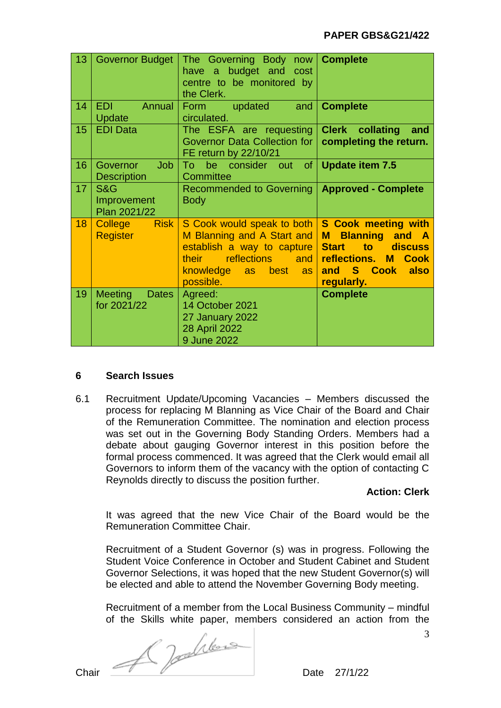| 13 | Governor Budget                                     | The Governing Body now<br>have a budget and cost<br>centre to be monitored by<br>the Clerk.                                                                              | <b>Complete</b>                                                                                                                                             |
|----|-----------------------------------------------------|--------------------------------------------------------------------------------------------------------------------------------------------------------------------------|-------------------------------------------------------------------------------------------------------------------------------------------------------------|
| 14 | <b>EDI</b><br>Annual<br><b>Update</b>               | Form updated<br>and<br>circulated.                                                                                                                                       | <b>Complete</b>                                                                                                                                             |
| 15 | <b>EDI Data</b>                                     | The ESFA are requesting<br>Governor Data Collection for<br>FE return by 22/10/21                                                                                         | <b>Clerk collating</b><br>and<br>completing the return.                                                                                                     |
| 16 | <b>Job</b><br><b>Governor</b><br><b>Description</b> | To a<br>be consider out of <b>Update item 7.5</b><br>Committee                                                                                                           |                                                                                                                                                             |
| 17 | <b>S&amp;G</b><br>Improvement<br>Plan 2021/22       | Recommended to Governing   Approved - Complete<br><b>Body</b>                                                                                                            |                                                                                                                                                             |
| 18 | <b>Risk</b><br>College<br><b>Register</b>           | S Cook would speak to both<br>M Blanning and A Start and<br>establish a way to capture<br><b>reflections</b><br>their<br><b>and</b><br>knowledge as best as<br>possible. | <b>S Cook meeting with</b><br>M<br><b>Blanning and A</b><br>to discuss<br><b>Start</b><br>reflections. M<br><b>Cook</b><br>and S Cook<br>also<br>regularly. |
| 19 | <b>Meeting</b><br><b>Dates</b><br>for 2021/22       | Agreed:<br><b>14 October 2021</b><br>27 January 2022<br>28 April 2022<br>9 June 2022                                                                                     | <b>Complete</b>                                                                                                                                             |

# **6 Search Issues**

6.1 Recruitment Update/Upcoming Vacancies – Members discussed the process for replacing M Blanning as Vice Chair of the Board and Chair of the Remuneration Committee. The nomination and election process was set out in the Governing Body Standing Orders. Members had a debate about gauging Governor interest in this position before the formal process commenced. It was agreed that the Clerk would email all Governors to inform them of the vacancy with the option of contacting C Reynolds directly to discuss the position further.

# **Action: Clerk**

It was agreed that the new Vice Chair of the Board would be the Remuneration Committee Chair.

Recruitment of a Student Governor (s) was in progress. Following the Student Voice Conference in October and Student Cabinet and Student Governor Selections, it was hoped that the new Student Governor(s) will be elected and able to attend the November Governing Body meeting.

Recruitment of a member from the Local Business Community – mindful of the Skills white paper, members considered an action from the

Chair  $\overbrace{\qquad \qquad }$  Date 27/1/22

3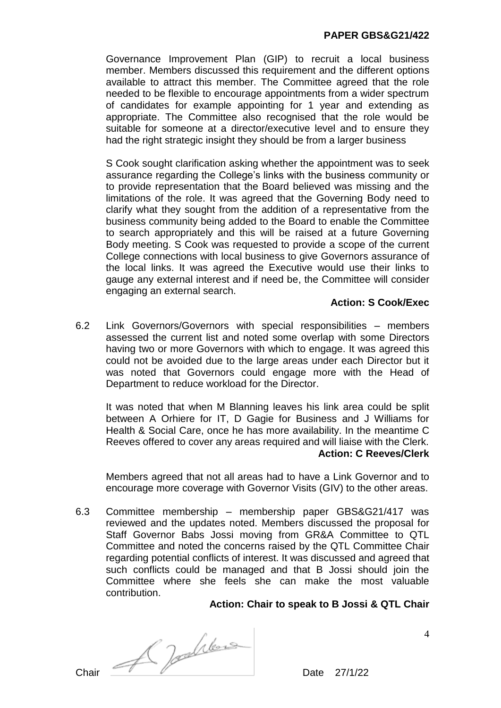Governance Improvement Plan (GIP) to recruit a local business member. Members discussed this requirement and the different options available to attract this member. The Committee agreed that the role needed to be flexible to encourage appointments from a wider spectrum of candidates for example appointing for 1 year and extending as appropriate. The Committee also recognised that the role would be suitable for someone at a director/executive level and to ensure they had the right strategic insight they should be from a larger business

S Cook sought clarification asking whether the appointment was to seek assurance regarding the College's links with the business community or to provide representation that the Board believed was missing and the limitations of the role. It was agreed that the Governing Body need to clarify what they sought from the addition of a representative from the business community being added to the Board to enable the Committee to search appropriately and this will be raised at a future Governing Body meeting. S Cook was requested to provide a scope of the current College connections with local business to give Governors assurance of the local links. It was agreed the Executive would use their links to gauge any external interest and if need be, the Committee will consider engaging an external search.

# **Action: S Cook/Exec**

6.2 Link Governors/Governors with special responsibilities – members assessed the current list and noted some overlap with some Directors having two or more Governors with which to engage. It was agreed this could not be avoided due to the large areas under each Director but it was noted that Governors could engage more with the Head of Department to reduce workload for the Director.

It was noted that when M Blanning leaves his link area could be split between A Orhiere for IT, D Gagie for Business and J Williams for Health & Social Care, once he has more availability. In the meantime C Reeves offered to cover any areas required and will liaise with the Clerk. **Action: C Reeves/Clerk**

Members agreed that not all areas had to have a Link Governor and to encourage more coverage with Governor Visits (GIV) to the other areas.

6.3 Committee membership – membership paper GBS&G21/417 was reviewed and the updates noted. Members discussed the proposal for Staff Governor Babs Jossi moving from GR&A Committee to QTL Committee and noted the concerns raised by the QTL Committee Chair regarding potential conflicts of interest. It was discussed and agreed that such conflicts could be managed and that B Jossi should join the Committee where she feels she can make the most valuable contribution.

# **Action: Chair to speak to B Jossi & QTL Chair**

Chair  $\mathcal{A}$  de  $\mathcal{A}$ 

4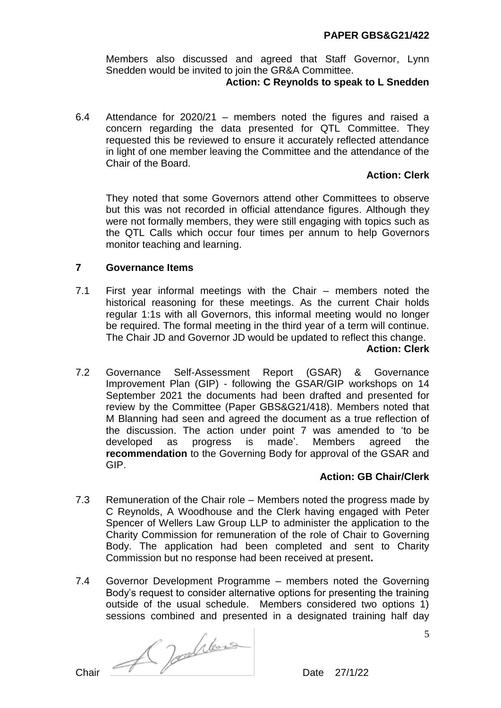Members also discussed and agreed that Staff Governor, Lynn Snedden would be invited to join the GR&A Committee.

### **Action: C Reynolds to speak to L Snedden**

6.4 Attendance for 2020/21 – members noted the figures and raised a concern regarding the data presented for QTL Committee. They requested this be reviewed to ensure it accurately reflected attendance in light of one member leaving the Committee and the attendance of the Chair of the Board.

# **Action: Clerk**

They noted that some Governors attend other Committees to observe but this was not recorded in official attendance figures. Although they were not formally members, they were still engaging with topics such as the QTL Calls which occur four times per annum to help Governors monitor teaching and learning.

# **7 Governance Items**

- 7.1 First year informal meetings with the Chair members noted the historical reasoning for these meetings. As the current Chair holds regular 1:1s with all Governors, this informal meeting would no longer be required. The formal meeting in the third year of a term will continue. The Chair JD and Governor JD would be updated to reflect this change. **Action: Clerk**
- 7.2 Governance Self-Assessment Report (GSAR) & Governance Improvement Plan (GIP) - following the GSAR/GIP workshops on 14 September 2021 the documents had been drafted and presented for review by the Committee (Paper GBS&G21/418). Members noted that M Blanning had seen and agreed the document as a true reflection of the discussion. The action under point 7 was amended to 'to be developed as progress is made'. Members agreed the **recommendation** to the Governing Body for approval of the GSAR and GIP.

# **Action: GB Chair/Clerk**

- 7.3 Remuneration of the Chair role Members noted the progress made by C Reynolds, A Woodhouse and the Clerk having engaged with Peter Spencer of Wellers Law Group LLP to administer the application to the Charity Commission for remuneration of the role of Chair to Governing Body. The application had been completed and sent to Charity Commission but no response had been received at present**.**
- 7.4 Governor Development Programme members noted the Governing Body's request to consider alternative options for presenting the training outside of the usual schedule. Members considered two options 1) sessions combined and presented in a designated training half day

Chair  $\mathcal{A}$  de  $\mathcal{A}$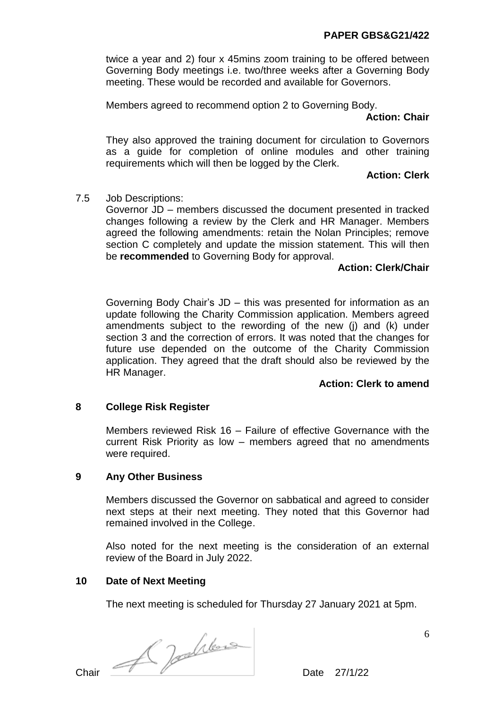twice a year and 2) four x 45mins zoom training to be offered between Governing Body meetings i.e. two/three weeks after a Governing Body meeting. These would be recorded and available for Governors.

Members agreed to recommend option 2 to Governing Body.

### **Action: Chair**

They also approved the training document for circulation to Governors as a guide for completion of online modules and other training requirements which will then be logged by the Clerk.

# **Action: Clerk**

# 7.5 Job Descriptions:

Governor JD – members discussed the document presented in tracked changes following a review by the Clerk and HR Manager. Members agreed the following amendments: retain the Nolan Principles; remove section C completely and update the mission statement. This will then be **recommended** to Governing Body for approval.

# **Action: Clerk/Chair**

Governing Body Chair's JD – this was presented for information as an update following the Charity Commission application. Members agreed amendments subject to the rewording of the new (j) and (k) under section 3 and the correction of errors. It was noted that the changes for future use depended on the outcome of the Charity Commission application. They agreed that the draft should also be reviewed by the HR Manager.

# **Action: Clerk to amend**

# **8 College Risk Register**

Members reviewed Risk 16 – Failure of effective Governance with the current Risk Priority as low – members agreed that no amendments were required.

# **9 Any Other Business**

Members discussed the Governor on sabbatical and agreed to consider next steps at their next meeting. They noted that this Governor had remained involved in the College.

Also noted for the next meeting is the consideration of an external review of the Board in July 2022.

# **10 Date of Next Meeting**

The next meeting is scheduled for Thursday 27 January 2021 at 5pm.

 $Char$